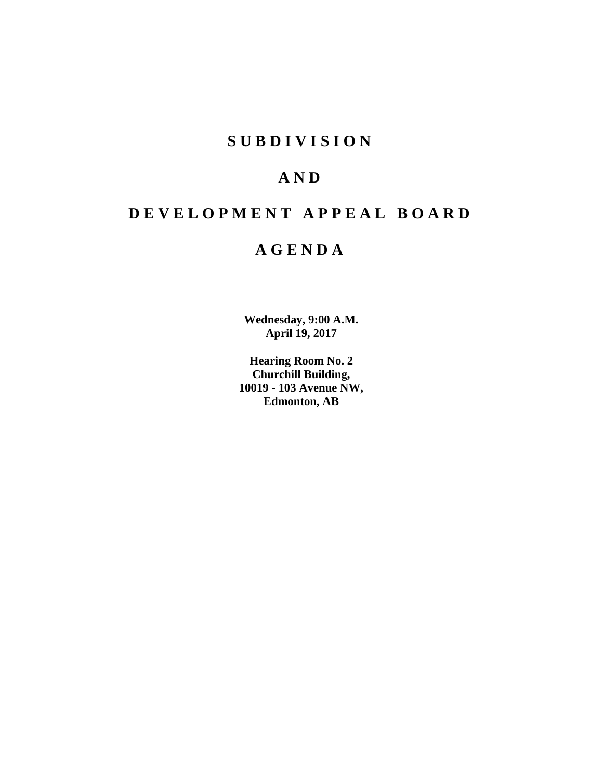# **S U B D I V I S I O N**

# **A N D**

# **D E V E L O P M E N T A P P E A L B O A R D**

# **A G E N D A**

**Wednesday, 9:00 A.M. April 19, 2017**

**Hearing Room No. 2 Churchill Building, 10019 - 103 Avenue NW, Edmonton, AB**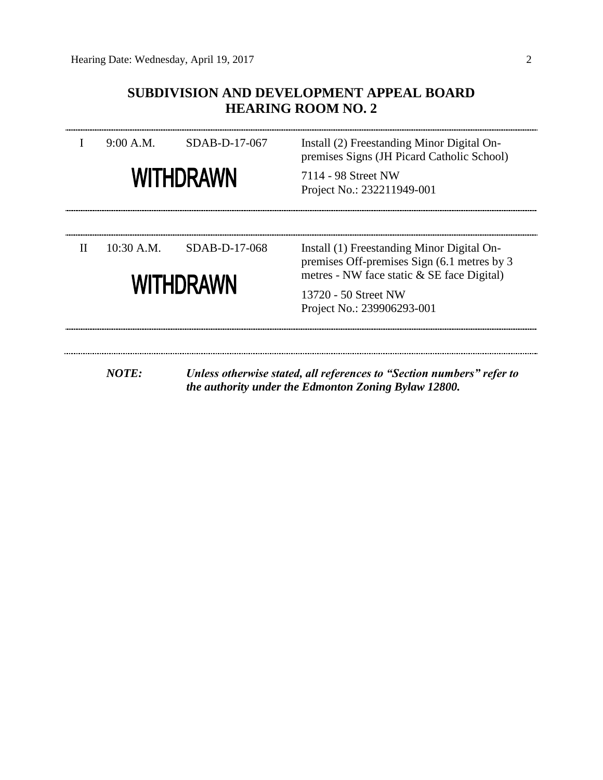# **SUBDIVISION AND DEVELOPMENT APPEAL BOARD HEARING ROOM NO. 2**

|              | 9:00 A.M.    | SDAB-D-17-067    | Install (2) Freestanding Minor Digital On-<br>premises Signs (JH Picard Catholic School)         |  |  |
|--------------|--------------|------------------|--------------------------------------------------------------------------------------------------|--|--|
|              |              | <b>WITHDRAWN</b> | 7114 - 98 Street NW<br>Project No.: 232211949-001                                                |  |  |
| $\mathbf{H}$ | $10:30$ A.M. | SDAB-D-17-068    | Install (1) Freestanding Minor Digital On-<br>premises Off-premises Sign (6.1 metres by 3        |  |  |
|              |              | <b>WITHDRAWN</b> | metres - NW face static & SE face Digital)<br>13720 - 50 Street NW<br>Project No.: 239906293-001 |  |  |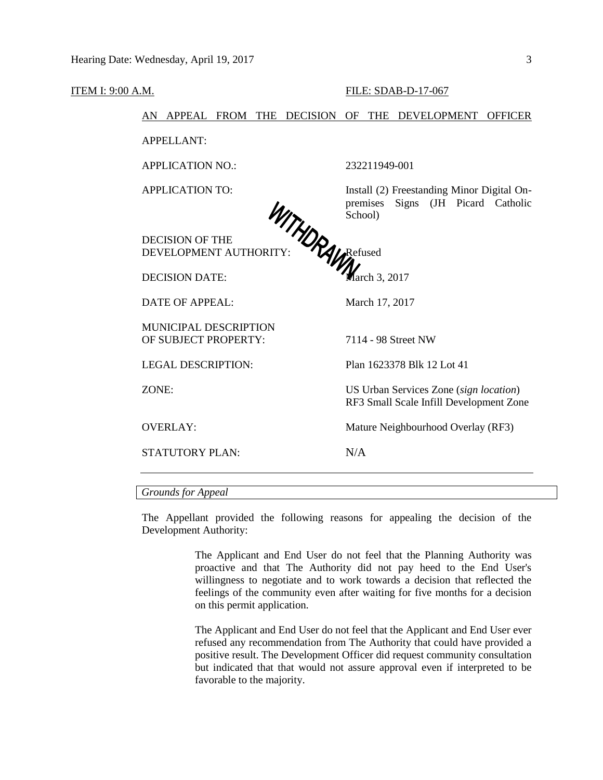#### ITEM I: 9:00 A.M. FILE: SDAB-D-17-067

AN APPEAL FROM THE DECISION OF THE DEVELOPMENT OFFICER

APPELLANT:

APPLICATION NO.: 232211949-001

APPLICATION TO: Install (2) Freestanding Minor Digital Onpremises Signs (JH Picard Catholic School)

DECISION OF THE DEVELOPMENT AUTHORITY:

DECISION DATE: March 3, 2017

DATE OF APPEAL: March 17, 2017

MUNICIPAL DESCRIPTION OF SUBJECT PROPERTY: 7114 - 98 Street NW

STATUTORY PLAN: N/A

LEGAL DESCRIPTION: Plan 1623378 Blk 12 Lot 41

ZONE: US Urban Services Zone (*sign location*) RF3 Small Scale Infill Development Zone

OVERLAY: Mature Neighbourhood Overlay (RF3)

*Grounds for Appeal*

The Appellant provided the following reasons for appealing the decision of the Development Authority:

> The Applicant and End User do not feel that the Planning Authority was proactive and that The Authority did not pay heed to the End User's willingness to negotiate and to work towards a decision that reflected the feelings of the community even after waiting for five months for a decision on this permit application.

> The Applicant and End User do not feel that the Applicant and End User ever refused any recommendation from The Authority that could have provided a positive result. The Development Officer did request community consultation but indicated that that would not assure approval even if interpreted to be favorable to the majority.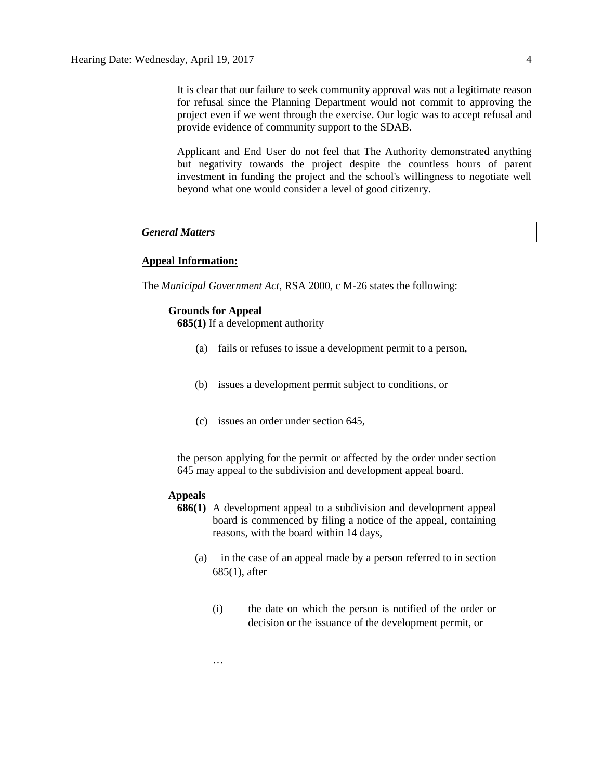It is clear that our failure to seek community approval was not a legitimate reason for refusal since the Planning Department would not commit to approving the project even if we went through the exercise. Our logic was to accept refusal and provide evidence of community support to the SDAB.

Applicant and End User do not feel that The Authority demonstrated anything but negativity towards the project despite the countless hours of parent investment in funding the project and the school's willingness to negotiate well beyond what one would consider a level of good citizenry.

#### *General Matters*

#### **Appeal Information:**

The *Municipal Government Act*, RSA 2000, c M-26 states the following:

#### **Grounds for Appeal**

**685(1)** If a development authority

- (a) fails or refuses to issue a development permit to a person,
- (b) issues a development permit subject to conditions, or
- (c) issues an order under section 645,

the person applying for the permit or affected by the order under section 645 may appeal to the subdivision and development appeal board.

#### **Appeals**

…

- **686(1)** A development appeal to a subdivision and development appeal board is commenced by filing a notice of the appeal, containing reasons, with the board within 14 days,
	- (a) in the case of an appeal made by a person referred to in section 685(1), after
		- (i) the date on which the person is notified of the order or decision or the issuance of the development permit, or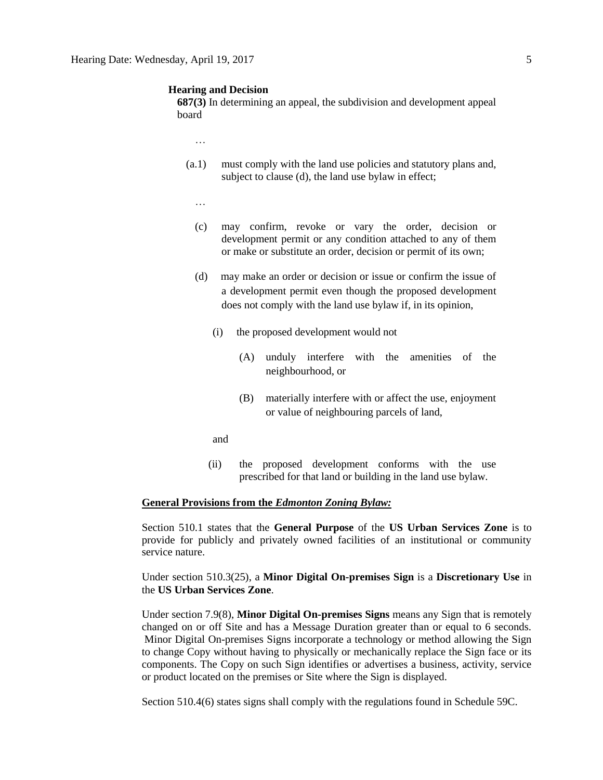#### **Hearing and Decision**

**687(3)** In determining an appeal, the subdivision and development appeal board

…

- (a.1) must comply with the land use policies and statutory plans and, subject to clause (d), the land use bylaw in effect;
	- …
	- (c) may confirm, revoke or vary the order, decision or development permit or any condition attached to any of them or make or substitute an order, decision or permit of its own;
	- (d) may make an order or decision or issue or confirm the issue of a development permit even though the proposed development does not comply with the land use bylaw if, in its opinion,
		- (i) the proposed development would not
			- (A) unduly interfere with the amenities of the neighbourhood, or
			- (B) materially interfere with or affect the use, enjoyment or value of neighbouring parcels of land,
		- and
		- (ii) the proposed development conforms with the use prescribed for that land or building in the land use bylaw.

## **General Provisions from the** *Edmonton Zoning Bylaw:*

Section 510.1 states that the **General Purpose** of the **US Urban Services Zone** is to provide for publicly and privately owned facilities of an institutional or community service nature.

Under section 510.3(25), a **Minor Digital On-premises Sign** is a **Discretionary Use** in the **US Urban Services Zone**.

Under section 7.9(8), **Minor Digital On-premises Signs** means any Sign that is remotely changed on or off Site and has a Message Duration greater than or equal to 6 seconds. Minor Digital On-premises Signs incorporate a technology or method allowing the Sign to change Copy without having to physically or mechanically replace the Sign face or its components. The Copy on such Sign identifies or advertises a business, activity, service or product located on the premises or Site where the Sign is displayed.

Section 510.4(6) states signs shall comply with the regulations found in Schedule 59C.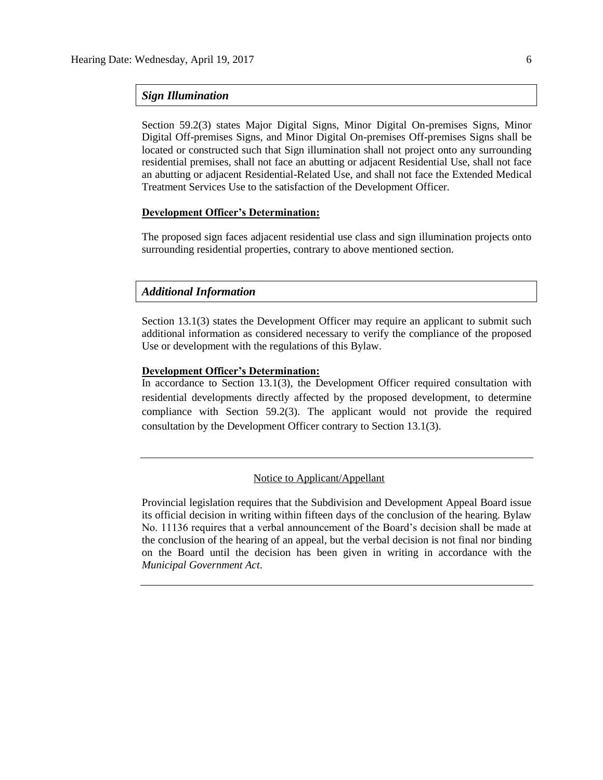#### *Sign Illumination*

Section 59.2(3) states Major Digital Signs, Minor Digital On-premises Signs, Minor Digital Off-premises Signs, and Minor Digital On-premises Off-premises Signs shall be located or constructed such that Sign illumination shall not project onto any surrounding residential premises, shall not face an abutting or adjacent Residential Use, shall not face an abutting or adjacent Residential-Related Use, and shall not face the Extended Medical Treatment Services Use to the satisfaction of the Development Officer.

# **Development Officer's Determination:**

The proposed sign faces adjacent residential use class and sign illumination projects onto surrounding residential properties, contrary to above mentioned section.

## *Additional Information*

Section 13.1(3) states the Development Officer may require an applicant to submit such additional information as considered necessary to verify the compliance of the proposed Use or development with the regulations of this Bylaw.

#### **Development Officer's Determination:**

In accordance to Section 13.1(3), the Development Officer required consultation with residential developments directly affected by the proposed development, to determine compliance with Section 59.2(3). The applicant would not provide the required consultation by the Development Officer contrary to Section 13.1(3).

## Notice to Applicant/Appellant

Provincial legislation requires that the Subdivision and Development Appeal Board issue its official decision in writing within fifteen days of the conclusion of the hearing. Bylaw No. 11136 requires that a verbal announcement of the Board's decision shall be made at the conclusion of the hearing of an appeal, but the verbal decision is not final nor binding on the Board until the decision has been given in writing in accordance with the *Municipal Government Act*.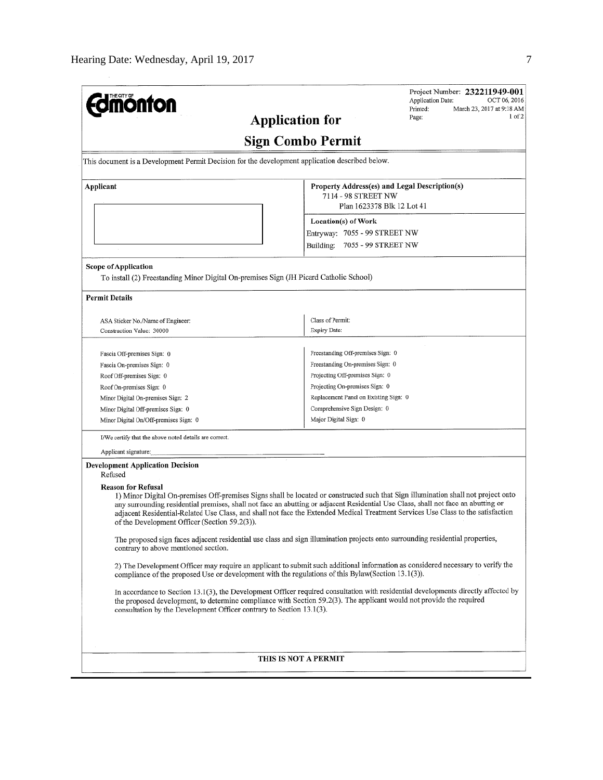| <b>mönton</b>                                                                                                                                                                                                                                                                                                                                                                                                                                                                             | Printed:                                                                                              | Project Number: 232211949-001<br>Application Date:<br>OCT 06, 2016<br>March 23, 2017 at 9:18 AM |  |  |
|-------------------------------------------------------------------------------------------------------------------------------------------------------------------------------------------------------------------------------------------------------------------------------------------------------------------------------------------------------------------------------------------------------------------------------------------------------------------------------------------|-------------------------------------------------------------------------------------------------------|-------------------------------------------------------------------------------------------------|--|--|
| <b>Application for</b>                                                                                                                                                                                                                                                                                                                                                                                                                                                                    | Page:                                                                                                 | 1 of 2                                                                                          |  |  |
|                                                                                                                                                                                                                                                                                                                                                                                                                                                                                           | <b>Sign Combo Permit</b>                                                                              |                                                                                                 |  |  |
| This document is a Development Permit Decision for the development application described below.                                                                                                                                                                                                                                                                                                                                                                                           |                                                                                                       |                                                                                                 |  |  |
| Applicant                                                                                                                                                                                                                                                                                                                                                                                                                                                                                 | Property Address(es) and Legal Description(s)<br>7114 - 98 STREET NW<br>Plan 1623378 Blk 12 Lot 41    |                                                                                                 |  |  |
|                                                                                                                                                                                                                                                                                                                                                                                                                                                                                           |                                                                                                       |                                                                                                 |  |  |
|                                                                                                                                                                                                                                                                                                                                                                                                                                                                                           | Location(s) of Work                                                                                   |                                                                                                 |  |  |
|                                                                                                                                                                                                                                                                                                                                                                                                                                                                                           | Entryway: 7055 - 99 STREET NW                                                                         |                                                                                                 |  |  |
|                                                                                                                                                                                                                                                                                                                                                                                                                                                                                           | Building:<br>7055 - 99 STREET NW                                                                      |                                                                                                 |  |  |
| <b>Scope of Application</b><br>To install (2) Freestanding Minor Digital On-premises Sign (JH Picard Catholic School)                                                                                                                                                                                                                                                                                                                                                                     |                                                                                                       |                                                                                                 |  |  |
| <b>Permit Details</b>                                                                                                                                                                                                                                                                                                                                                                                                                                                                     |                                                                                                       |                                                                                                 |  |  |
|                                                                                                                                                                                                                                                                                                                                                                                                                                                                                           | Class of Permit:                                                                                      |                                                                                                 |  |  |
| ASA Sticker No./Name of Engineer:<br>Construction Value: 30000                                                                                                                                                                                                                                                                                                                                                                                                                            | Expiry Date:                                                                                          |                                                                                                 |  |  |
|                                                                                                                                                                                                                                                                                                                                                                                                                                                                                           |                                                                                                       |                                                                                                 |  |  |
| Fascia Off-premises Sign: 0                                                                                                                                                                                                                                                                                                                                                                                                                                                               | Freestanding Off-premises Sign: 0                                                                     |                                                                                                 |  |  |
| Fascia On-premises Sign: 0                                                                                                                                                                                                                                                                                                                                                                                                                                                                | Freestanding On-premises Sign: 0<br>Projecting Off-premises Sign: 0<br>Projecting On-premises Sign: 0 |                                                                                                 |  |  |
| Roof Off-premises Sign: 0                                                                                                                                                                                                                                                                                                                                                                                                                                                                 |                                                                                                       |                                                                                                 |  |  |
| Roof On-premises Sign: 0                                                                                                                                                                                                                                                                                                                                                                                                                                                                  |                                                                                                       |                                                                                                 |  |  |
| Minor Digital On-premises Sign: 2                                                                                                                                                                                                                                                                                                                                                                                                                                                         | Replacement Panel on Existing Sign: 0                                                                 |                                                                                                 |  |  |
| Minor Digital Off-premises Sign: 0                                                                                                                                                                                                                                                                                                                                                                                                                                                        | Comprehensive Sign Design: 0                                                                          |                                                                                                 |  |  |
| Minor Digital On/Off-premises Sign: 0                                                                                                                                                                                                                                                                                                                                                                                                                                                     | Major Digital Sign: 0                                                                                 |                                                                                                 |  |  |
| I/We certify that the above noted details are correct.                                                                                                                                                                                                                                                                                                                                                                                                                                    |                                                                                                       |                                                                                                 |  |  |
| Applicant signature:                                                                                                                                                                                                                                                                                                                                                                                                                                                                      |                                                                                                       |                                                                                                 |  |  |
| <b>Development Application Decision</b><br>Refused                                                                                                                                                                                                                                                                                                                                                                                                                                        |                                                                                                       |                                                                                                 |  |  |
| <b>Reason for Refusal</b><br>1) Minor Digital On-premises Off-premises Signs shall be located or constructed such that Sign illumination shall not project onto<br>any surrounding residential premises, shall not face an abutting or adjacent Residential Use Class, shall not face an abutting or<br>adjacent Residential-Related Use Class, and shall not face the Extended Medical Treatment Services Use Class to the satisfaction<br>of the Development Officer (Section 59.2(3)). |                                                                                                       |                                                                                                 |  |  |
| The proposed sign faces adjacent residential use class and sign illumination projects onto surrounding residential properties,<br>contrary to above mentioned section.                                                                                                                                                                                                                                                                                                                    |                                                                                                       |                                                                                                 |  |  |
| 2) The Development Officer may require an applicant to submit such additional information as considered necessary to verify the<br>compliance of the proposed Use or development with the regulations of this Bylaw(Section 13.1(3)).                                                                                                                                                                                                                                                     |                                                                                                       |                                                                                                 |  |  |
| In accordance to Section 13.1(3), the Development Officer required consultation with residential developments directly affected by<br>the proposed development, to determine compliance with Section 59.2(3). The applicant would not provide the required<br>consultation by the Development Officer contrary to Section 13.1(3).                                                                                                                                                        |                                                                                                       |                                                                                                 |  |  |
|                                                                                                                                                                                                                                                                                                                                                                                                                                                                                           |                                                                                                       |                                                                                                 |  |  |
|                                                                                                                                                                                                                                                                                                                                                                                                                                                                                           | THIS IS NOT A PERMIT                                                                                  |                                                                                                 |  |  |
|                                                                                                                                                                                                                                                                                                                                                                                                                                                                                           |                                                                                                       |                                                                                                 |  |  |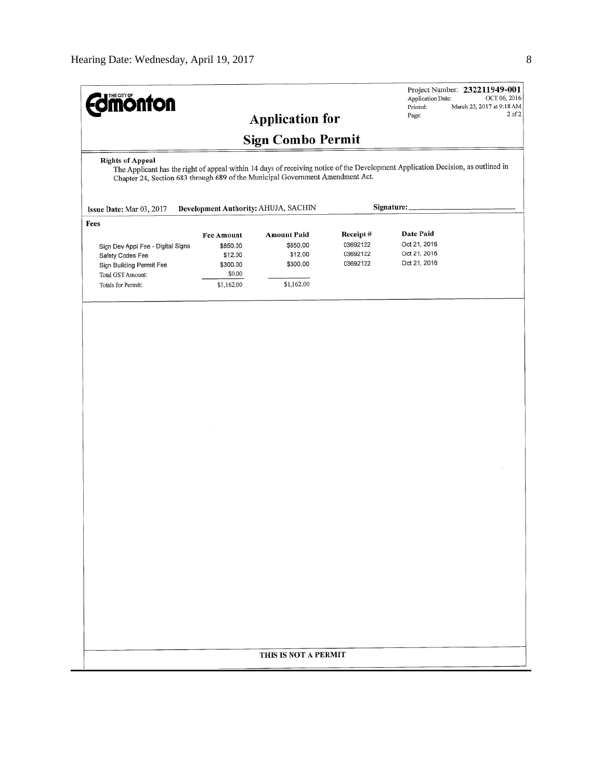| <b><i><u>edmonton</u></i></b>                                                                                                                                                                                                                 |                   |                                      |          | Project Number: 232211949-001<br>Application Date:<br>Printed: | OCT 06, 2016<br>March 23, 2017 at 9:18 AM |  |  |
|-----------------------------------------------------------------------------------------------------------------------------------------------------------------------------------------------------------------------------------------------|-------------------|--------------------------------------|----------|----------------------------------------------------------------|-------------------------------------------|--|--|
|                                                                                                                                                                                                                                               |                   | <b>Application for</b>               |          | Page:                                                          | 2 of 2                                    |  |  |
|                                                                                                                                                                                                                                               |                   | <b>Sign Combo Permit</b>             |          |                                                                |                                           |  |  |
| <b>Rights of Appeal</b><br>The Applicant has the right of appeal within 14 days of receiving notice of the Development Application Decision, as outlined in<br>Chapter 24, Section 683 through 689 of the Municipal Government Amendment Act. |                   |                                      |          |                                                                |                                           |  |  |
| Issue Date: Mar 03, 2017                                                                                                                                                                                                                      |                   | Development Authority: AHUJA, SACHIN |          | Signature:                                                     |                                           |  |  |
| Fees                                                                                                                                                                                                                                          |                   |                                      |          |                                                                |                                           |  |  |
|                                                                                                                                                                                                                                               | <b>Fee Amount</b> | <b>Amount Paid</b>                   | Receipt# | Date Paid                                                      |                                           |  |  |
| Sign Dev Appl Fee - Digital Signs                                                                                                                                                                                                             | \$850.00          | \$850.00                             | 03692122 | Oct 21, 2016                                                   |                                           |  |  |
| Safety Codes Fee                                                                                                                                                                                                                              | \$12.00           | \$12.00                              | 03692122 | Oct 21, 2016<br>Oct 21, 2016                                   |                                           |  |  |
| Sign Building Permit Fee                                                                                                                                                                                                                      | \$300.00          | \$300.00                             | 03692122 |                                                                |                                           |  |  |
| Total GST Amount:                                                                                                                                                                                                                             | \$0.00            |                                      |          |                                                                |                                           |  |  |
| Totals for Permit:                                                                                                                                                                                                                            | \$1,162.00        | \$1,162.00                           |          |                                                                |                                           |  |  |
|                                                                                                                                                                                                                                               |                   |                                      |          |                                                                |                                           |  |  |
|                                                                                                                                                                                                                                               |                   |                                      |          |                                                                |                                           |  |  |
|                                                                                                                                                                                                                                               |                   |                                      |          |                                                                |                                           |  |  |
|                                                                                                                                                                                                                                               |                   |                                      |          |                                                                |                                           |  |  |
|                                                                                                                                                                                                                                               |                   |                                      |          |                                                                |                                           |  |  |
|                                                                                                                                                                                                                                               |                   |                                      |          |                                                                |                                           |  |  |
|                                                                                                                                                                                                                                               |                   |                                      |          |                                                                |                                           |  |  |
|                                                                                                                                                                                                                                               |                   |                                      |          |                                                                |                                           |  |  |
|                                                                                                                                                                                                                                               |                   |                                      |          |                                                                |                                           |  |  |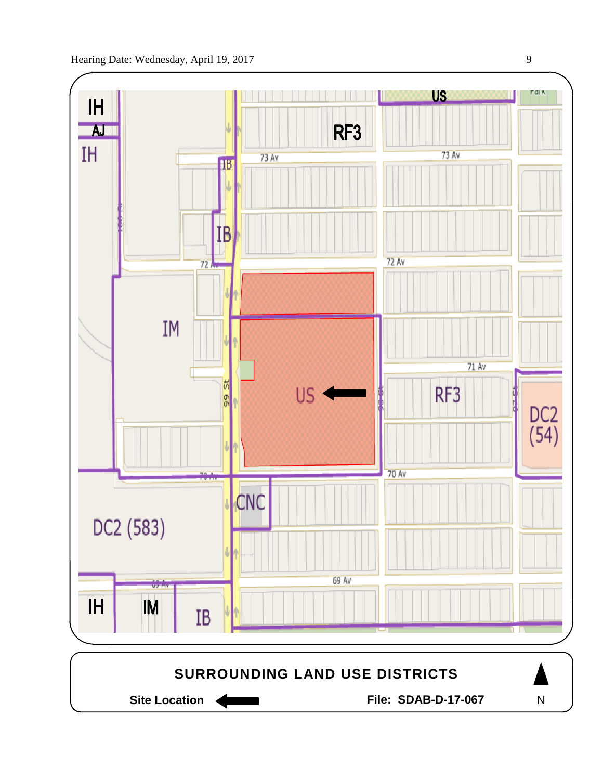

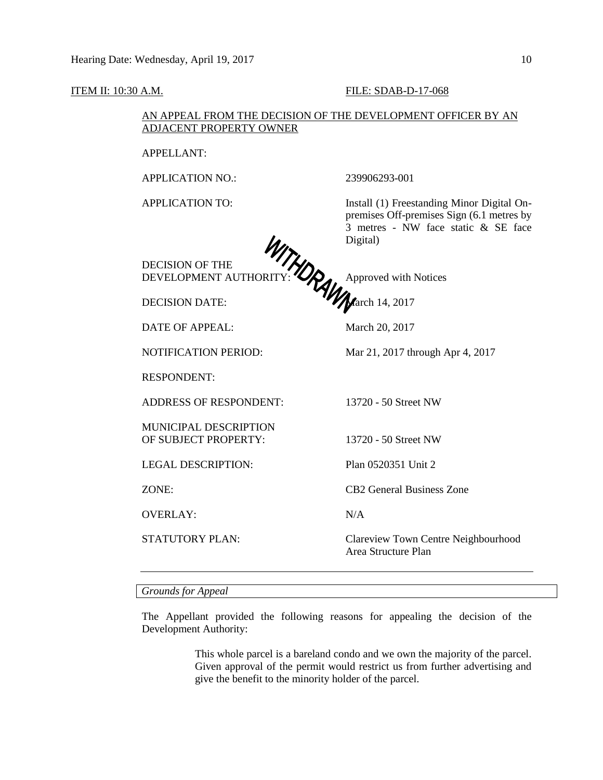#### **ITEM II: 10:30 A.M. FILE: SDAB-D-17-068**

## AN APPEAL FROM THE DECISION OF THE DEVELOPMENT OFFICER BY AN ADJACENT PROPERTY OWNER

APPELLANT:

APPLICATION NO.: 239906293-001

APPLICATION TO: Install (1) Freestanding Minor Digital Onpremises Off-premises Sign (6.1 metres by 3 metres - NW face static & SE face Digital)

DEVELOPMENT AUTHORITY:  $\bigotimes$ , Approved with Notices

DECISION DATE: **March 14, 2017** 

DECISION OF THE

DATE OF APPEAL: March 20, 2017

NOTIFICATION PERIOD: Mar 21, 2017 through Apr 4, 2017

RESPONDENT:

ADDRESS OF RESPONDENT: 13720 - 50 Street NW

MUNICIPAL DESCRIPTION OF SUBJECT PROPERTY: 13720 - 50 Street NW

LEGAL DESCRIPTION: Plan 0520351 Unit 2

OVERLAY: N/A

ZONE: CB2 General Business Zone

STATUTORY PLAN: Clareview Town Centre Neighbourhood Area Structure Plan

*Grounds for Appeal*

The Appellant provided the following reasons for appealing the decision of the Development Authority:

> This whole parcel is a bareland condo and we own the majority of the parcel. Given approval of the permit would restrict us from further advertising and give the benefit to the minority holder of the parcel.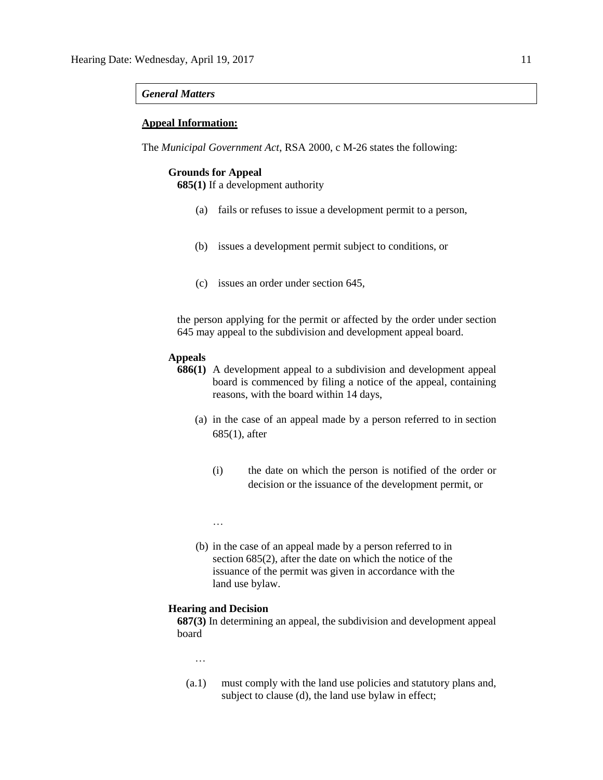#### *General Matters*

#### **Appeal Information:**

The *Municipal Government Act*, RSA 2000, c M-26 states the following:

### **Grounds for Appeal**

**685(1)** If a development authority

- (a) fails or refuses to issue a development permit to a person,
- (b) issues a development permit subject to conditions, or
- (c) issues an order under section 645,

the person applying for the permit or affected by the order under section 645 may appeal to the subdivision and development appeal board.

## **Appeals**

- **686(1)** A development appeal to a subdivision and development appeal board is commenced by filing a notice of the appeal, containing reasons, with the board within 14 days,
	- (a) in the case of an appeal made by a person referred to in section 685(1), after
		- (i) the date on which the person is notified of the order or decision or the issuance of the development permit, or
		- …
	- (b) in the case of an appeal made by a person referred to in section 685(2), after the date on which the notice of the issuance of the permit was given in accordance with the land use bylaw.

## **Hearing and Decision**

**687(3)** In determining an appeal, the subdivision and development appeal board

…

(a.1) must comply with the land use policies and statutory plans and, subject to clause (d), the land use bylaw in effect;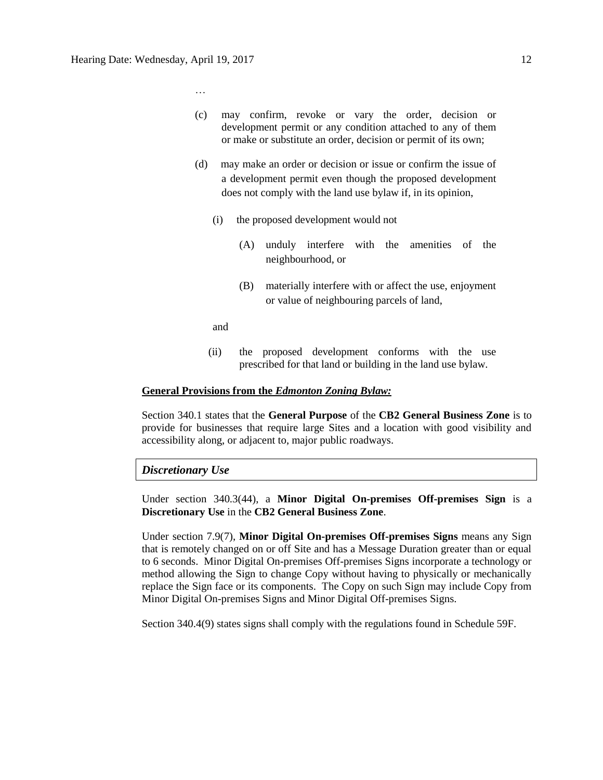…

- (c) may confirm, revoke or vary the order, decision or development permit or any condition attached to any of them or make or substitute an order, decision or permit of its own;
- (d) may make an order or decision or issue or confirm the issue of a development permit even though the proposed development does not comply with the land use bylaw if, in its opinion,
	- (i) the proposed development would not
		- (A) unduly interfere with the amenities of the neighbourhood, or
		- (B) materially interfere with or affect the use, enjoyment or value of neighbouring parcels of land,

and

(ii) the proposed development conforms with the use prescribed for that land or building in the land use bylaw.

## **General Provisions from the** *Edmonton Zoning Bylaw:*

Section 340.1 states that the **General Purpose** of the **CB2 General Business Zone** is to provide for businesses that require large Sites and a location with good visibility and accessibility along, or adjacent to, major public roadways.

### *Discretionary Use*

Under section 340.3(44), a **Minor Digital On-premises Off-premises Sign** is a **Discretionary Use** in the **CB2 General Business Zone**.

Under section 7.9(7), **Minor Digital On-premises Off-premises Signs** means any Sign that is remotely changed on or off Site and has a Message Duration greater than or equal to 6 seconds. Minor Digital On-premises Off-premises Signs incorporate a technology or method allowing the Sign to change Copy without having to physically or mechanically replace the Sign face or its components. The Copy on such Sign may include Copy from Minor Digital On-premises Signs and Minor Digital Off-premises Signs.

Section 340.4(9) states signs shall comply with the regulations found in Schedule 59F.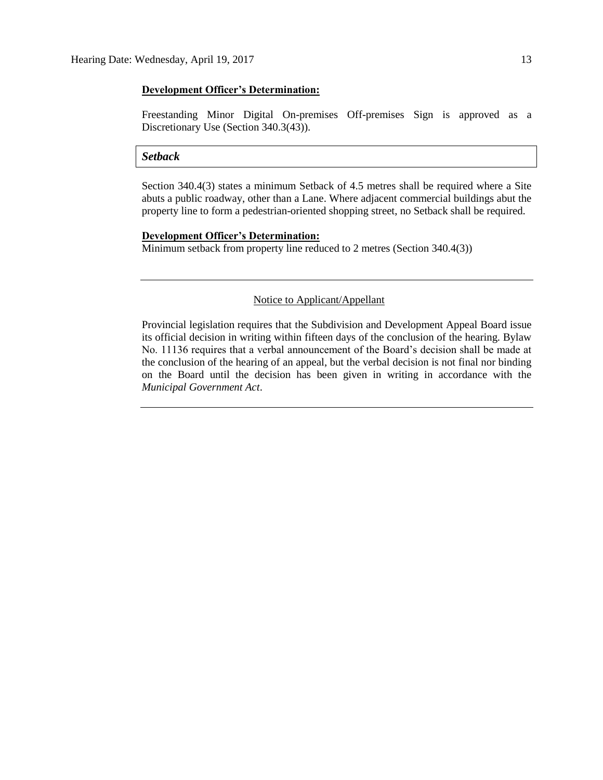## **Development Officer's Determination:**

Freestanding Minor Digital On-premises Off-premises Sign is approved as a Discretionary Use (Section 340.3(43)).

#### *Setback*

Section 340.4(3) states a minimum Setback of 4.5 metres shall be required where a Site abuts a public roadway, other than a Lane. Where adjacent commercial buildings abut the property line to form a pedestrian-oriented shopping street, no Setback shall be required.

#### **Development Officer's Determination:**

Minimum setback from property line reduced to 2 metres (Section 340.4(3))

# Notice to Applicant/Appellant

Provincial legislation requires that the Subdivision and Development Appeal Board issue its official decision in writing within fifteen days of the conclusion of the hearing. Bylaw No. 11136 requires that a verbal announcement of the Board's decision shall be made at the conclusion of the hearing of an appeal, but the verbal decision is not final nor binding on the Board until the decision has been given in writing in accordance with the *Municipal Government Act*.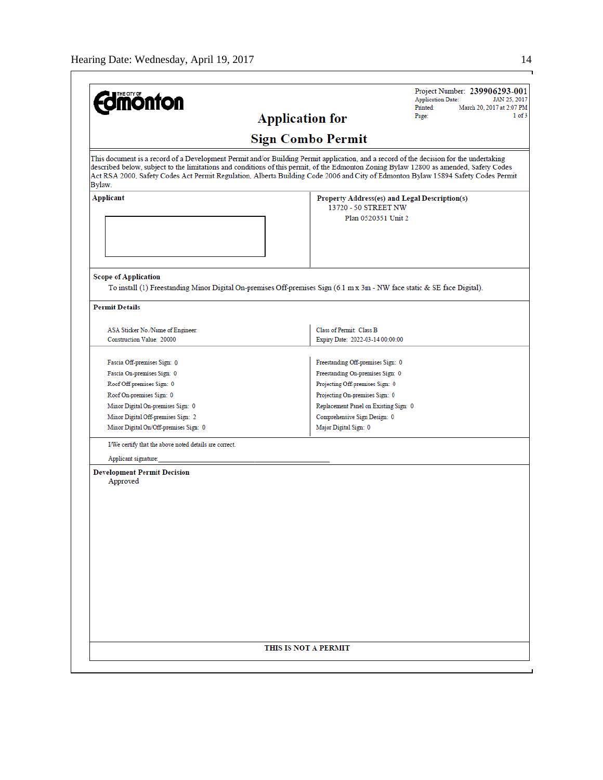| <b>monton</b>                                                         | Printed:<br>March 20, 2017 at 2:07 PM<br>$1$ of $3$<br>Page:<br><b>Application for</b>                                                                                                                                                                                      |
|-----------------------------------------------------------------------|-----------------------------------------------------------------------------------------------------------------------------------------------------------------------------------------------------------------------------------------------------------------------------|
|                                                                       | <b>Sign Combo Permit</b>                                                                                                                                                                                                                                                    |
|                                                                       | This document is a record of a Development Permit and/or Building Permit application, and a record of the decision for the undertaking                                                                                                                                      |
| Bylaw.                                                                | described below, subject to the limitations and conditions of this permit, of the Edmonton Zoning Bylaw 12800 as amended, Safety Codes<br>Act RSA 2000, Safety Codes Act Permit Regulation, Alberta Building Code 2006 and City of Edmonton Bylaw 15894 Safety Codes Permit |
| <b>Applicant</b>                                                      | Property Address(es) and Legal Description(s)<br>13720 - 50 STREET NW                                                                                                                                                                                                       |
|                                                                       | Plan 0520351 Unit 2                                                                                                                                                                                                                                                         |
|                                                                       |                                                                                                                                                                                                                                                                             |
| <b>Scope of Application</b>                                           | To install (1) Freestanding Minor Digital On-premises Off-premises Sign (6.1 m x 3m - NW face static & SE face Digital).                                                                                                                                                    |
| <b>Permit Details</b>                                                 |                                                                                                                                                                                                                                                                             |
| ASA Sticker No./Name of Engineer:<br><b>Construction Value: 20000</b> | Class of Permit: Class B<br>Expiry Date: 2022-03-14 00:00:00                                                                                                                                                                                                                |
| Fascia Off-premises Sign: 0                                           | Freestanding Off-premises Sign: 0                                                                                                                                                                                                                                           |
| Fascia On-premises Sign: 0                                            | Freestanding On-premises Sign: 0                                                                                                                                                                                                                                            |
| Roof Off-premises Sign: 0                                             | Projecting Off-premises Sign: 0                                                                                                                                                                                                                                             |
| Roof On-premises Sign: 0                                              | Projecting On-premises Sign: 0                                                                                                                                                                                                                                              |
| Minor Digital On-premises Sign: 0                                     | Replacement Panel on Existing Sign: 0                                                                                                                                                                                                                                       |
| Minor Digital Off-premises Sign: 2                                    | Comprehensive Sign Design: 0                                                                                                                                                                                                                                                |
| Minor Digital On/Off-premises Sign: 0                                 | Major Digital Sign: 0                                                                                                                                                                                                                                                       |
| I/We certify that the above noted details are correct.                |                                                                                                                                                                                                                                                                             |
| Applicant signature:                                                  |                                                                                                                                                                                                                                                                             |
| <b>Development Permit Decision</b><br>Approved                        |                                                                                                                                                                                                                                                                             |
|                                                                       |                                                                                                                                                                                                                                                                             |
|                                                                       |                                                                                                                                                                                                                                                                             |
|                                                                       |                                                                                                                                                                                                                                                                             |
|                                                                       |                                                                                                                                                                                                                                                                             |
|                                                                       |                                                                                                                                                                                                                                                                             |
|                                                                       |                                                                                                                                                                                                                                                                             |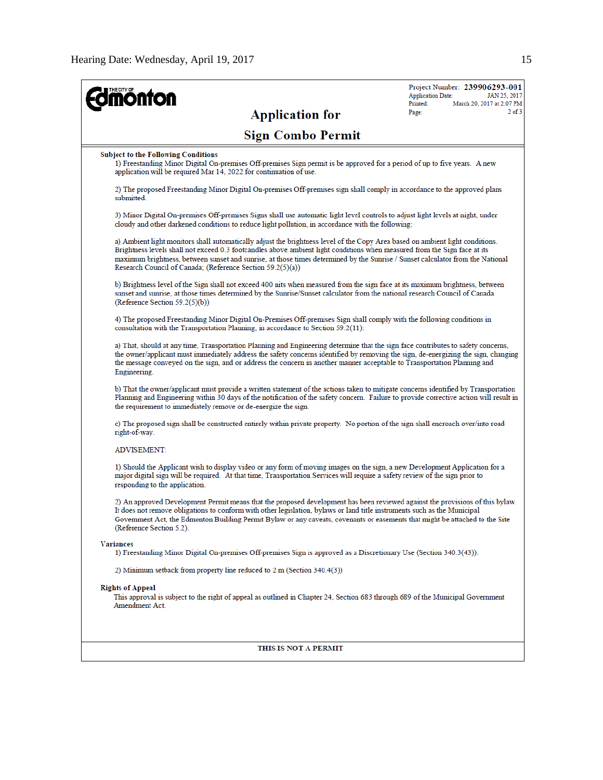| <b>mónfon</b>                                                                                                                                                                                                                                                                                                                                                                                                                                              | Project Number: 239906293-001<br><b>Application Date:</b><br>JAN 25, 2017<br>Printed:<br>March 20, 2017 at 2:07 PM |
|------------------------------------------------------------------------------------------------------------------------------------------------------------------------------------------------------------------------------------------------------------------------------------------------------------------------------------------------------------------------------------------------------------------------------------------------------------|--------------------------------------------------------------------------------------------------------------------|
| <b>Application for</b>                                                                                                                                                                                                                                                                                                                                                                                                                                     | $2$ of $3$<br>Page:                                                                                                |
| <b>Sign Combo Permit</b>                                                                                                                                                                                                                                                                                                                                                                                                                                   |                                                                                                                    |
| <b>Subject to the Following Conditions</b><br>1) Freestanding Minor Digital On-premises Off-premises Sign permit is be approved for a period of up to five years. A new<br>application will be required Mar 14, 2022 for continuation of use.                                                                                                                                                                                                              |                                                                                                                    |
| 2) The proposed Freestanding Minor Digital On-premises Off-premises sign shall comply in accordance to the approved plans<br>submitted.                                                                                                                                                                                                                                                                                                                    |                                                                                                                    |
| 3) Minor Digital On-premises Off-premises Signs shall use automatic light level controls to adjust light levels at night, under<br>cloudy and other darkened conditions to reduce light pollution, in accordance with the following:                                                                                                                                                                                                                       |                                                                                                                    |
| a) Ambient light monitors shall automatically adjust the brightness level of the Copy Area based on ambient light conditions.<br>Brightness levels shall not exceed 0.3 footcandles above ambient light conditions when measured from the Sign face at its<br>maximum brightness, between sunset and sunrise, at those times determined by the Sunrise / Sunset calculator from the National<br>Research Council of Canada; (Reference Section 59.2(5)(a)) |                                                                                                                    |
| b) Brightness level of the Sign shall not exceed 400 mits when measured from the sign face at its maximum brightness, between<br>sunset and sunrise, at those times determined by the Sunrise/Sunset calculator from the national research Council of Canada<br>(Reference Section 59.2(5)(b))                                                                                                                                                             |                                                                                                                    |
| 4) The proposed Freestanding Minor Digital On-Premises Off-premises Sign shall comply with the following conditions in<br>consultation with the Transportation Planning, in accordance to Section $59.2(11)$ :                                                                                                                                                                                                                                             |                                                                                                                    |
| a) That, should at any time, Transportation Planning and Engineering determine that the sign face contributes to safety concerns,<br>the owner/applicant must immediately address the safety concerns identified by removing the sign, de-energizing the sign, changing<br>the message conveyed on the sign, and or address the concern in another manner acceptable to Transportation Planning and<br>Engineering.                                        |                                                                                                                    |
| b) That the owner/applicant must provide a written statement of the actions taken to mitigate concerns identified by Transportation<br>Planning and Engineering within 30 days of the notification of the safety concern. Failure to provide corrective action will result in<br>the requirement to immediately remove or de-energize the sign.                                                                                                            |                                                                                                                    |
| c) The proposed sign shall be constructed entirely within private property. No portion of the sign shall encroach over/into road<br>right-of-way.                                                                                                                                                                                                                                                                                                          |                                                                                                                    |
| <b>ADVISEMENT:</b>                                                                                                                                                                                                                                                                                                                                                                                                                                         |                                                                                                                    |
| 1) Should the Applicant wish to display video or any form of moving images on the sign, a new Development Application for a<br>major digital sign will be required. At that time, Transportation Services will require a safety review of the sign prior to<br>responding to the application.                                                                                                                                                              |                                                                                                                    |
| 2) An approved Development Permit means that the proposed development has been reviewed against the provisions of this bylaw.<br>It does not remove obligations to conform with other legislation, bylaws or land title instruments such as the Municipal<br>Government Act, the Edmonton Building Permit Bylaw or any caveats, covenants or easements that might be attached to the Site<br>(Reference Section 5.2).                                      |                                                                                                                    |
| <b>Variances</b><br>1) Freestanding Minor Digital On-premises Off-premises Sign is approved as a Discretionary Use (Section 340.3(43)).                                                                                                                                                                                                                                                                                                                    |                                                                                                                    |
| 2) Minimum setback from property line reduced to 2 m (Section 340.4(3))                                                                                                                                                                                                                                                                                                                                                                                    |                                                                                                                    |
| <b>Rights of Appeal</b><br>This approval is subject to the right of appeal as outlined in Chapter 24, Section 683 through 689 of the Municipal Government<br>Amendment Act.                                                                                                                                                                                                                                                                                |                                                                                                                    |

## THIS IS NOT A PERMIT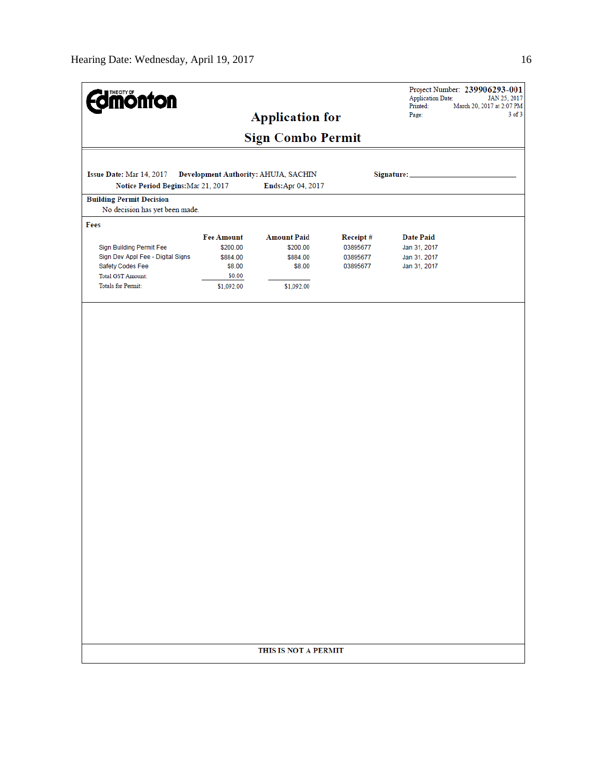| <b>dmönton</b>                                                                                                                             |                                                                             | <b>Application for</b>                                             |                                              | <b>Application Date:</b><br>Printed:<br>Page:                    | Project Number: 239906293-001<br>JAN 25, 2017<br>March 20, 2017 at 2:07 PM<br>$3$ of $3$ |
|--------------------------------------------------------------------------------------------------------------------------------------------|-----------------------------------------------------------------------------|--------------------------------------------------------------------|----------------------------------------------|------------------------------------------------------------------|------------------------------------------------------------------------------------------|
|                                                                                                                                            |                                                                             | <b>Sign Combo Permit</b>                                           |                                              |                                                                  |                                                                                          |
| Issue Date: Mar 14, 2017<br>Notice Period Begins: Mar 21, 2017                                                                             |                                                                             | Development Authority: AHUJA, SACHIN<br>Ends: Apr 04, 2017         |                                              | Signature:                                                       |                                                                                          |
| <b>Building Permit Decision</b><br>No decision has yet been made.                                                                          |                                                                             |                                                                    |                                              |                                                                  |                                                                                          |
| Fees                                                                                                                                       |                                                                             |                                                                    |                                              |                                                                  |                                                                                          |
| Sign Building Permit Fee<br>Sign Dev Appl Fee - Digital Signs<br>Safety Codes Fee<br><b>Total GST Amount:</b><br><b>Totals for Permit:</b> | <b>Fee Amount</b><br>\$200.00<br>\$884.00<br>\$8.00<br>\$0.00<br>\$1,092.00 | <b>Amount Paid</b><br>\$200.00<br>\$884.00<br>\$8.00<br>\$1,092.00 | Receipt#<br>03895677<br>03895677<br>03895677 | <b>Date Paid</b><br>Jan 31, 2017<br>Jan 31, 2017<br>Jan 31, 2017 |                                                                                          |
|                                                                                                                                            |                                                                             |                                                                    |                                              |                                                                  |                                                                                          |
|                                                                                                                                            |                                                                             |                                                                    |                                              |                                                                  |                                                                                          |
|                                                                                                                                            |                                                                             |                                                                    |                                              |                                                                  |                                                                                          |
|                                                                                                                                            |                                                                             |                                                                    |                                              |                                                                  |                                                                                          |
|                                                                                                                                            |                                                                             |                                                                    |                                              |                                                                  |                                                                                          |
|                                                                                                                                            |                                                                             |                                                                    |                                              |                                                                  |                                                                                          |
|                                                                                                                                            |                                                                             |                                                                    |                                              |                                                                  |                                                                                          |
|                                                                                                                                            |                                                                             |                                                                    |                                              |                                                                  |                                                                                          |
|                                                                                                                                            |                                                                             |                                                                    |                                              |                                                                  |                                                                                          |
|                                                                                                                                            |                                                                             |                                                                    |                                              |                                                                  |                                                                                          |
|                                                                                                                                            |                                                                             | THIS IS NOT A PERMIT                                               |                                              |                                                                  |                                                                                          |